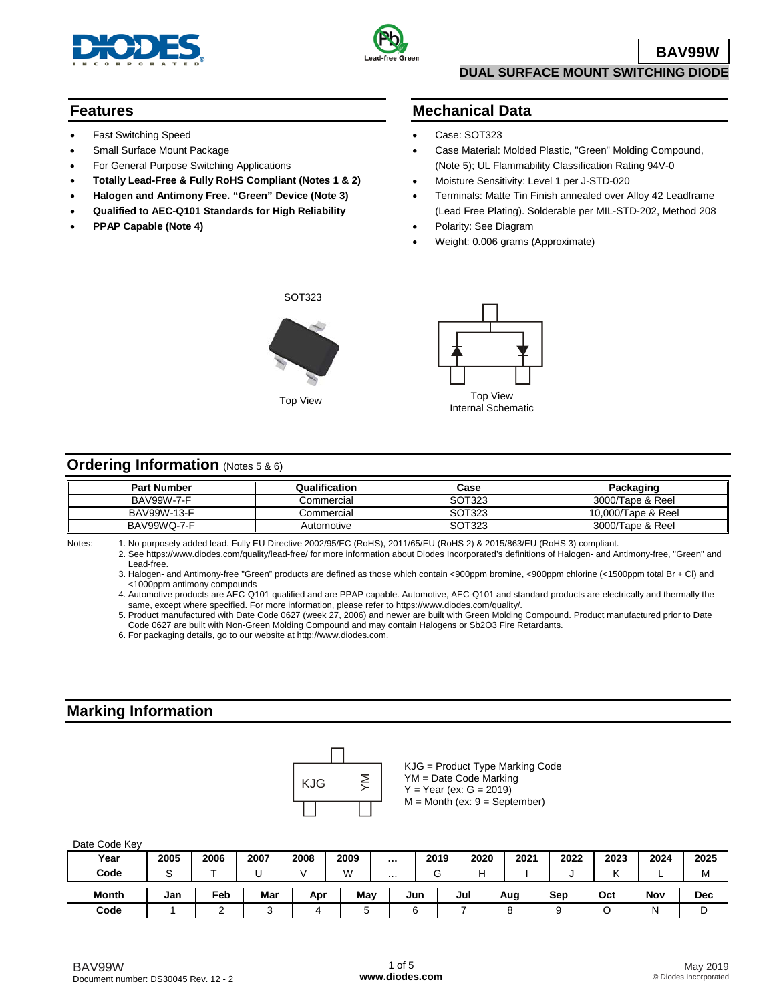



## **Features**

- Fast Switching Speed
- Small Surface Mount Package
- For General Purpose Switching Applications
- **Totally Lead-Free & Fully RoHS Compliant (Notes 1 & 2)**
- **Halogen and Antimony Free. "Green" Device (Note 3)**
- **Qualified to AEC-Q101 Standards for High Reliability**
- **PPAP Capable (Note 4)**

## **Mechanical Data**

- Case: SOT323
- Case Material: Molded Plastic, "Green" Molding Compound, (Note 5); UL Flammability Classification Rating 94V-0
- Moisture Sensitivity: Level 1 per J-STD-020
- Terminals: Matte Tin Finish annealed over Alloy 42 Leadframe (Lead Free Plating). Solderable per MIL-STD-202, Method 208
- Polarity: See Diagram
- Weight: 0.006 grams (Approximate)





## **Ordering Information** (Notes 5 & 6)

| <b>Part Number</b> | Qualification | Case   | Packaging          |
|--------------------|---------------|--------|--------------------|
| BAV99W-7-F         | Commercial    | SOT323 | 3000/Tape & Reel   |
| BAV99W-13-F        | Commercial    | SOT323 | 10,000/Tape & Reel |
| BAV99WQ-7-F        | Automotive    | SOT323 | 3000/Tape & Reel   |

Notes: 1. No purposely added lead. Fully EU Directive 2002/95/EC (RoHS), 2011/65/EU (RoHS 2) & 2015/863/EU (RoHS 3) compliant.

2. See [https://www.diodes.com/quality/lead-free/ fo](https://www.diodes.com/quality/lead-free/)r more information about Diodes Incorporated's definitions of Halogen- and Antimony-free, "Green" and Lead-free.

3. Halogen- and Antimony-free "Green" products are defined as those which contain <900ppm bromine, <900ppm chlorine (<1500ppm total Br + Cl) and <1000ppm antimony compounds

4. Automotive products are AEC-Q101 qualified and are PPAP capable. Automotive, AEC-Q101 and standard products are electrically and thermally the same, except where specified. For more information, please refer to [https://www.diodes.com/quality/.](https://www.diodes.com/quality/)

5. Product manufactured with Date Code 0627 (week 27, 2006) and newer are built with Green Molding Compound. Product manufactured prior to Date Code 0627 are built with Non-Green Molding Compound and may contain Halogens or Sb2O3 Fire Retardants.

6. For packaging details, go to our website at [http://www.diodes.com.](http://www.diodes.com)

## **Marking Information**



KJG = Product Type Marking Code YM = Date Code Marking  $Y = Year (ex: G = 2019)$  $M =$  Month (ex:  $9 =$  September)

| Date Code Key |  |  |
|---------------|--|--|
|---------------|--|--|

| .            |      |      |      |      |      |          |        |      |      |      |      |      |            |
|--------------|------|------|------|------|------|----------|--------|------|------|------|------|------|------------|
| Year         | 2005 | 2006 | 2007 | 2008 | 2009 | $\cdots$ | 2019   | 2020 | 2021 | 2022 | 2023 | 2024 | 2025       |
| Code         |      |      |      |      | M    | $\cdots$ | ⌒<br>u | н    |      |      |      |      | M          |
| <b>Month</b> | Jan  | Feb  | Mar  | Apr  | May  |          | Jun    | Jul  | Aug  | Sep  | Oct  | Nov  | <b>Dec</b> |
| Code         |      |      |      |      |      |          |        |      |      |      |      |      | ◡          |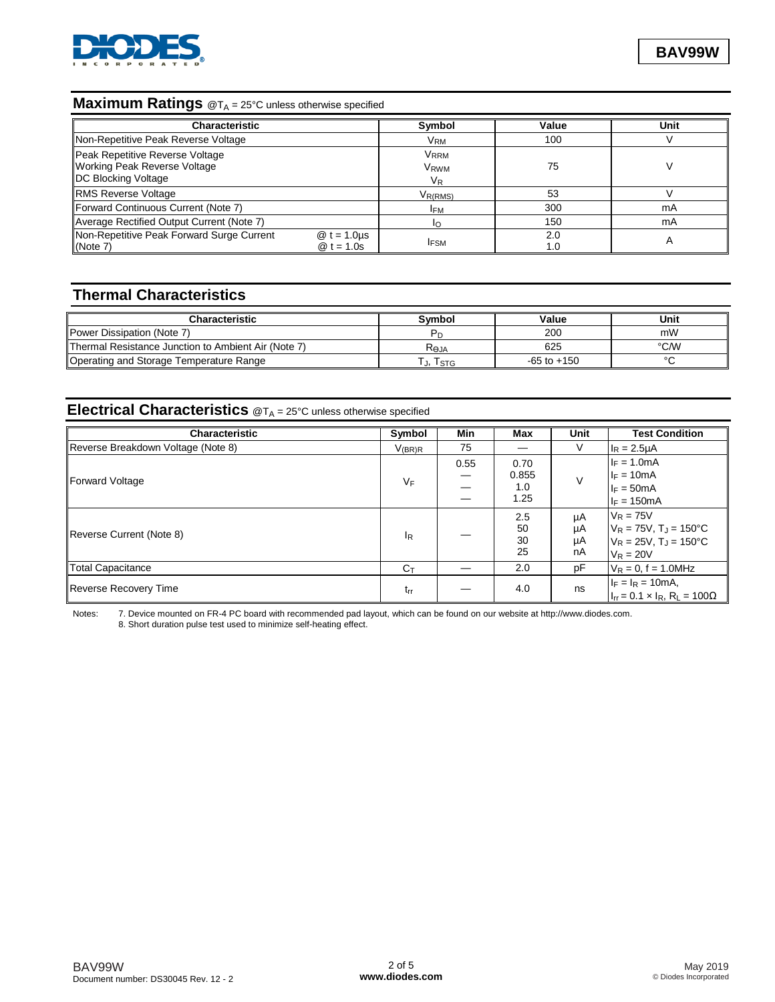

## **Maximum Ratings** @T<sub>A</sub> = 25°C unless otherwise specified

| <b>Characteristic</b>                                                                                |                              | Symbol                                     | Value      | Unit |
|------------------------------------------------------------------------------------------------------|------------------------------|--------------------------------------------|------------|------|
| Non-Repetitive Peak Reverse Voltage                                                                  |                              | Vrm                                        | 100        |      |
| Peak Repetitive Reverse Voltage<br><b>Working Peak Reverse Voltage</b><br><b>DC Blocking Voltage</b> |                              | Vrrm<br>V <sub>RWM</sub><br>V <sub>R</sub> | 75         |      |
| <b>RMS Reverse Voltage</b>                                                                           |                              | V <sub>R(RMS)</sub>                        | 53         |      |
| Forward Continuous Current (Note 7)                                                                  |                              | <b>IFM</b>                                 | 300        | mA   |
| Average Rectified Output Current (Note 7)                                                            |                              | I∩                                         | 150        | mA   |
| Non-Repetitive Peak Forward Surge Current<br>(Note 7)                                                | $@t = 1.0$ us<br>$@t = 1.0s$ | <b>IFSM</b>                                | 2.0<br>1.0 | A    |

## **Thermal Characteristics**

| <b>Characteristic</b>                               | <b>Symbol</b> | Value           | Unit |
|-----------------------------------------------------|---------------|-----------------|------|
| Power Dissipation (Note 7)                          |               | 200             | mW   |
| Thermal Resistance Junction to Ambient Air (Note 7) | Reja          | 625             | °C/W |
| Operating and Storage Temperature Range             | I STG         | $-65$ to $+150$ |      |

# **Electrical Characteristics**  $@T_A = 25^\circ$ C unless otherwise specified

| <b>Characteristic</b>              | Symbol                    | Min  | Max                          | Unit                 | <b>Test Condition</b>                                                                                     |
|------------------------------------|---------------------------|------|------------------------------|----------------------|-----------------------------------------------------------------------------------------------------------|
| Reverse Breakdown Voltage (Note 8) | $V_{(BR)R}$               | 75   |                              | V                    | $I_R = 2.5 \mu A$                                                                                         |
| Forward Voltage                    | $V_F$                     | 0.55 | 0.70<br>0.855<br>1.0<br>1.25 |                      | $I_F = 1.0mA$<br>$I_F = 10mA$<br>$I_F = 50mA$<br>$I_F = 150mA$                                            |
| Reverse Current (Note 8)           | $\mathsf{I}_{\mathsf{R}}$ |      | $2.5\,$<br>50<br>30<br>25    | μA<br>μA<br>μA<br>nA | $V_R = 75V$<br>$V_R$ = 75V, T <sub>J</sub> = 150°C<br>$V_R = 25V$ , T <sub>J</sub> = 150°C<br>$V_R = 20V$ |
| Total Capacitance                  | $C_{\text{T}}$            |      | 2.0                          | рF                   | $V_R = 0$ , f = 1.0MHz                                                                                    |
| <b>Reverse Recovery Time</b>       | trr                       |      | 4.0                          | ns                   | $I_F = I_R = 10mA,$<br>$I_{rr} = 0.1 \times I_R$ , R <sub>L</sub> = 100 $\Omega$                          |

Notes: 7. Device mounted on FR-4 PC board with recommended pad layout, which can be found on our website at [http://www.diodes.com.](http://www.diodes.com) 8. Short duration pulse test used to minimize self-heating effect.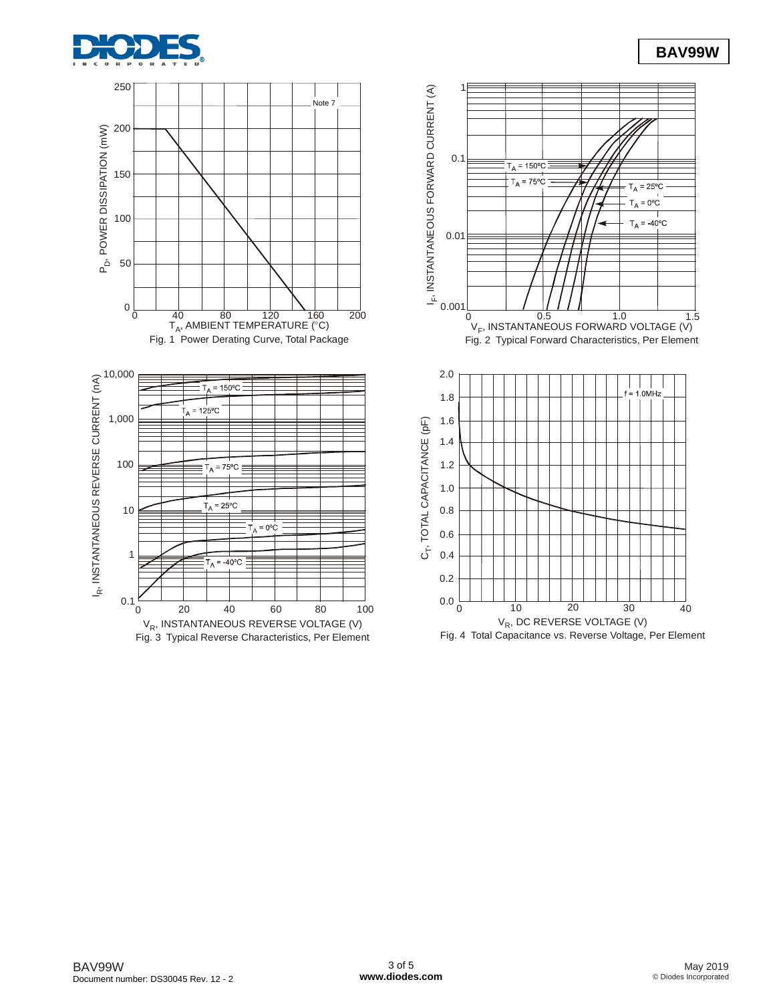



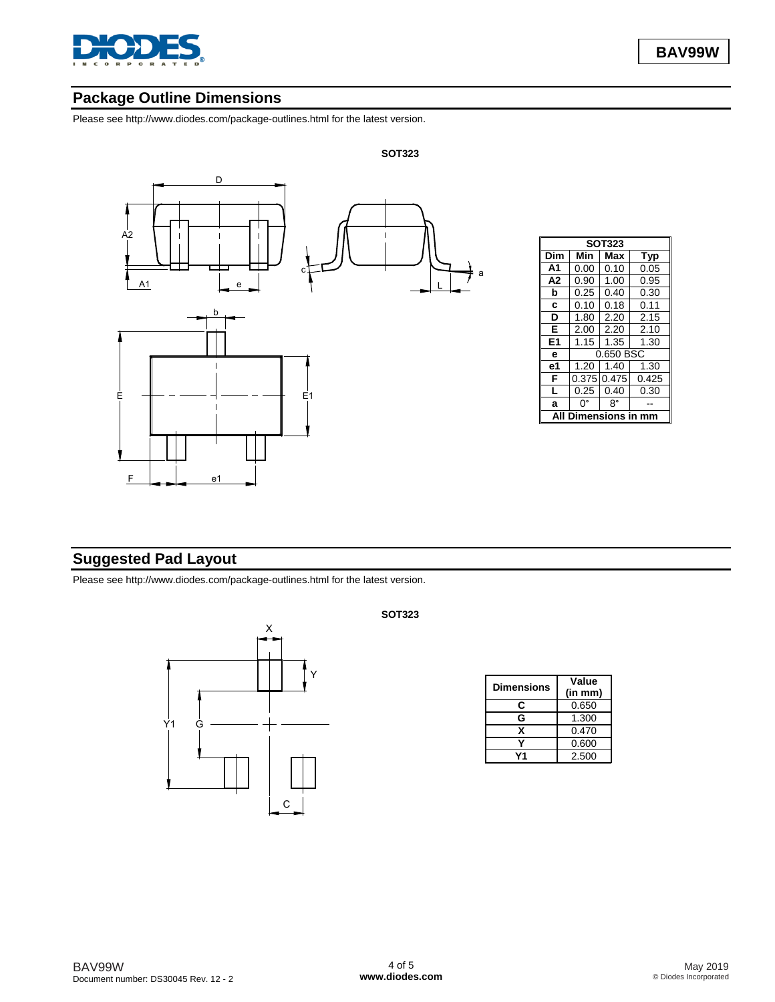

## **Package Outline Dimensions**

Please see [http://www.diodes.com/package-outlines.html fo](http://www.diodes.com/package-outlines.html)r the latest version.



| <b>SOT323</b>  |             |      |       |  |  |  |  |
|----------------|-------------|------|-------|--|--|--|--|
| Dim            | Min         | Max  | Typ   |  |  |  |  |
|                |             |      |       |  |  |  |  |
| A <sub>1</sub> | 0.00        | 0.10 | 0.05  |  |  |  |  |
| A <sub>2</sub> | 0.90        | 1.00 | 0.95  |  |  |  |  |
| b              | 0.25        | 0.40 | 0.30  |  |  |  |  |
| C              | 0.10        | 0.18 | 0.11  |  |  |  |  |
| D              | 1.80        | 2.20 | 2.15  |  |  |  |  |
| Е              | 2.00        | 2.20 | 2.10  |  |  |  |  |
| E1             | 1.15        | 1.35 | 1.30  |  |  |  |  |
| e              | 0.650 BSC   |      |       |  |  |  |  |
| e1             | 1.20        | 1.40 | 1.30  |  |  |  |  |
| F              | 0.375 0.475 |      | 0.425 |  |  |  |  |
| L              | 0.25        | 0.40 | 0.30  |  |  |  |  |
| a              | n۰          | 8°   |       |  |  |  |  |
|                | sin         |      |       |  |  |  |  |

## **Suggested Pad Layout**

Please see [http://www.diodes.com/package-outlines.html fo](http://www.diodes.com/package-outlines.html)r the latest version.



### **SOT323**

| <b>Dimensions</b> | Value<br>(in mm) |
|-------------------|------------------|
| C                 | 0.650            |
| G                 | 1.300            |
| x                 | 0.470            |
|                   | 0.600            |
|                   | 2.500            |